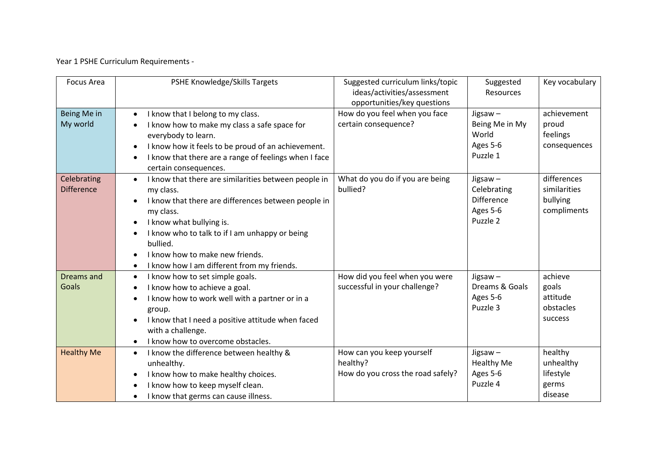Year 1 PSHE Curriculum Requirements -

| <b>Focus Area</b>                | PSHE Knowledge/Skills Targets                                                                                                                                                                                                                                                                                                                           | Suggested curriculum links/topic<br>ideas/activities/assessment<br>opportunities/key questions | Suggested<br>Resources                                                 | Key vocabulary                                         |
|----------------------------------|---------------------------------------------------------------------------------------------------------------------------------------------------------------------------------------------------------------------------------------------------------------------------------------------------------------------------------------------------------|------------------------------------------------------------------------------------------------|------------------------------------------------------------------------|--------------------------------------------------------|
| Being Me in<br>My world          | I know that I belong to my class.<br>$\bullet$<br>I know how to make my class a safe space for<br>everybody to learn.<br>I know how it feels to be proud of an achievement.<br>I know that there are a range of feelings when I face<br>certain consequences.                                                                                           | How do you feel when you face<br>certain consequence?                                          | Jigsaw-<br>Being Me in My<br>World<br>Ages 5-6<br>Puzzle 1             | achievement<br>proud<br>feelings<br>consequences       |
| Celebrating<br><b>Difference</b> | I know that there are similarities between people in<br>$\bullet$<br>my class.<br>I know that there are differences between people in<br>my class.<br>I know what bullying is.<br>$\bullet$<br>I know who to talk to if I am unhappy or being<br>bullied.<br>I know how to make new friends.<br>I know how I am different from my friends.<br>$\bullet$ | What do you do if you are being<br>bullied?                                                    | Jigsaw $-$<br>Celebrating<br><b>Difference</b><br>Ages 5-6<br>Puzzle 2 | differences<br>similarities<br>bullying<br>compliments |
| Dreams and<br>Goals              | I know how to set simple goals.<br>$\bullet$<br>I know how to achieve a goal.<br>I know how to work well with a partner or in a<br>group.<br>I know that I need a positive attitude when faced<br>with a challenge.<br>I know how to overcome obstacles.                                                                                                | How did you feel when you were<br>successful in your challenge?                                | Jigsaw $-$<br>Dreams & Goals<br>Ages 5-6<br>Puzzle 3                   | achieve<br>goals<br>attitude<br>obstacles<br>success   |
| <b>Healthy Me</b>                | I know the difference between healthy &<br>$\bullet$<br>unhealthy.<br>I know how to make healthy choices.<br>$\bullet$<br>I know how to keep myself clean.<br>I know that germs can cause illness.<br>$\bullet$                                                                                                                                         | How can you keep yourself<br>healthy?<br>How do you cross the road safely?                     | Jigsaw $-$<br><b>Healthy Me</b><br>Ages 5-6<br>Puzzle 4                | healthy<br>unhealthy<br>lifestyle<br>germs<br>disease  |